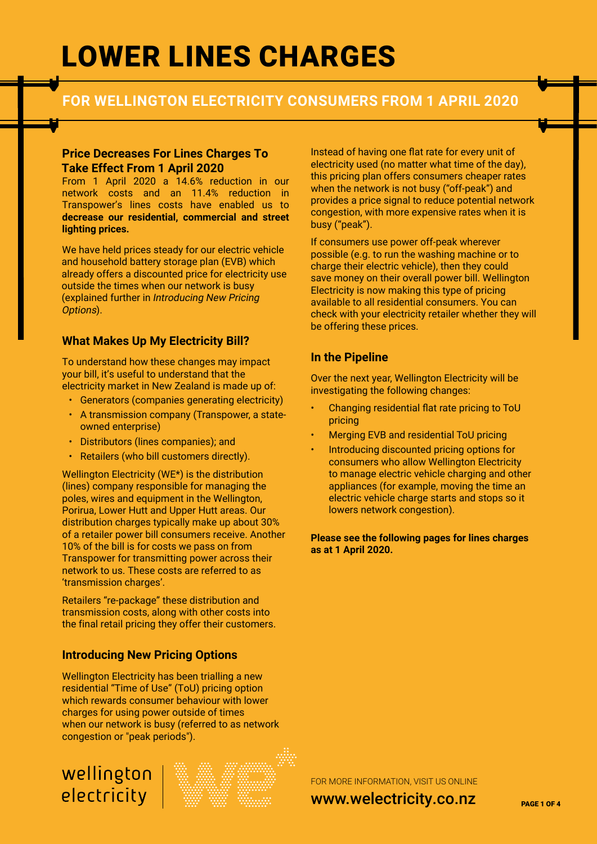# LOWER LINES CHARGES

### **FOR WELLINGTON ELECTRICITY CONSUMERS FROM 1 APRIL 2020**

#### **Price Decreases For Lines Charges To Take Effect From 1 April 2020**

From 1 April 2020 a 14.6% reduction in our network costs and an 11.4% reduction in Transpower's lines costs have enabled us to **decrease our residential, commercial and street lighting prices.**

We have held prices steady for our electric vehicle and household battery storage plan (EVB) which already offers a discounted price for electricity use outside the times when our network is busy (explained further in Introducing New Pricing Options).

### **What Makes Up My Electricity Bill?**

To understand how these changes may impact your bill, it's useful to understand that the electricity market in New Zealand is made up of:

- Generators (companies generating electricity)
- A transmission company (Transpower, a stateowned enterprise)
- Distributors (lines companies); and
- Retailers (who bill customers directly).

Wellington Electricity (WE\*) is the distribution (lines) company responsible for managing the poles, wires and equipment in the Wellington, Porirua, Lower Hutt and Upper Hutt areas. Our distribution charges typically make up about 30% of a retailer power bill consumers receive. Another 10% of the bill is for costs we pass on from Transpower for transmitting power across their network to us. These costs are referred to as 'transmission charges'.

Retailers "re-package" these distribution and transmission costs, along with other costs into the final retail pricing they offer their customers.

### **Introducing New Pricing Options**

Wellington Electricity has been trialling a new residential "Time of Use" (ToU) pricing option which rewards consumer behaviour with lower charges for using power outside of times when our network is busy (referred to as network congestion or "peak periods").

# wellington electricity



Instead of having one flat rate for every unit of electricity used (no matter what time of the day), this pricing plan offers consumers cheaper rates when the network is not busy ("off-peak") and provides a price signal to reduce potential network congestion, with more expensive rates when it is busy ("peak").

If consumers use power off-peak wherever possible (e.g. to run the washing machine or to charge their electric vehicle), then they could save money on their overall power bill. Wellington Electricity is now making this type of pricing available to all residential consumers. You can check with your electricity retailer whether they will be offering these prices.

### **In the Pipeline**

Over the next year, Wellington Electricity will be investigating the following changes:

- Changing residential flat rate pricing to ToU pricing
- Merging EVB and residential ToU pricing
- Introducing discounted pricing options for consumers who allow Wellington Electricity to manage electric vehicle charging and other appliances (for example, moving the time an electric vehicle charge starts and stops so it lowers network congestion).

**Please see the following pages for lines charges as at 1 April 2020.**

FOR MORE INFORMATION, VISIT US ONLINE

www.welectricity.co.nz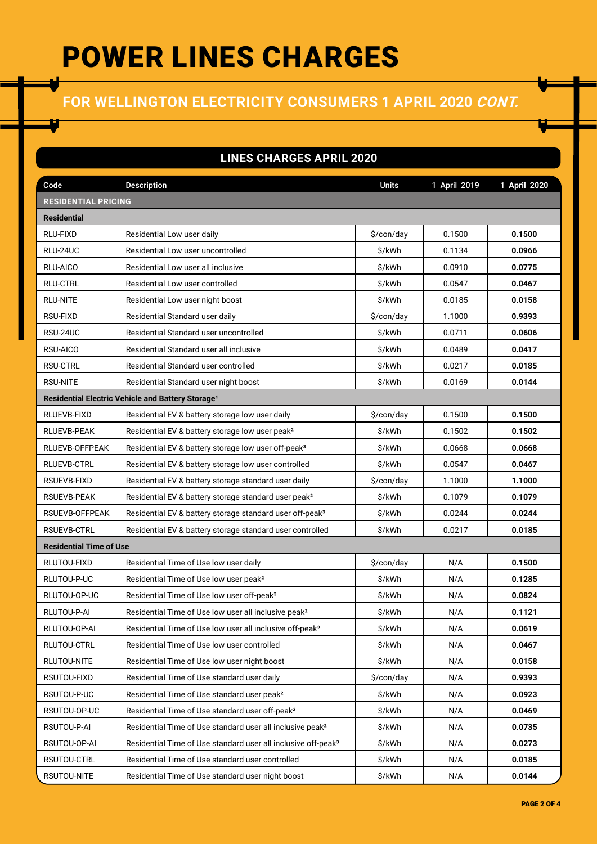# POWER LINES CHARGES

# **FOR WELLINGTON ELECTRICITY CONSUMERS 1 APRIL 2020 CONT.**

### **LINES CHARGES APRIL 2020**

| Code                           | <b>Description</b>                                                        | <b>Units</b> | 1 April 2019 | 1 April 2020 |  |
|--------------------------------|---------------------------------------------------------------------------|--------------|--------------|--------------|--|
| <b>RESIDENTIAL PRICING</b>     |                                                                           |              |              |              |  |
| <b>Residential</b>             |                                                                           |              |              |              |  |
| RLU-FIXD                       | Residential Low user daily                                                | \$/con/day   | 0.1500       | 0.1500       |  |
| RLU-24UC                       | Residential Low user uncontrolled                                         | \$/kWh       | 0.1134       | 0.0966       |  |
| RLU-AICO                       | Residential Low user all inclusive                                        | \$/kWh       | 0.0910       | 0.0775       |  |
| <b>RLU-CTRL</b>                | Residential Low user controlled                                           | \$/kWh       | 0.0547       | 0.0467       |  |
| <b>RLU-NITE</b>                | Residential Low user night boost                                          | \$/kWh       | 0.0185       | 0.0158       |  |
| RSU-FIXD                       | Residential Standard user daily                                           | \$/con/day   | 1.1000       | 0.9393       |  |
| RSU-24UC                       | Residential Standard user uncontrolled                                    | \$/kWh       | 0.0711       | 0.0606       |  |
| RSU-AICO                       | Residential Standard user all inclusive                                   | \$/kWh       | 0.0489       | 0.0417       |  |
| <b>RSU-CTRL</b>                | Residential Standard user controlled                                      | \$/kWh       | 0.0217       | 0.0185       |  |
| <b>RSU-NITE</b>                | Residential Standard user night boost                                     | \$/kWh       | 0.0169       | 0.0144       |  |
|                                | Residential Electric Vehicle and Battery Storage <sup>1</sup>             |              |              |              |  |
| RLUEVB-FIXD                    | Residential EV & battery storage low user daily                           | \$/con/day   | 0.1500       | 0.1500       |  |
| RLUEVB-PEAK                    | Residential EV & battery storage low user peak <sup>2</sup>               | \$/kWh       | 0.1502       | 0.1502       |  |
| RLUEVB-OFFPEAK                 | Residential EV & battery storage low user off-peak <sup>3</sup>           | \$/kWh       | 0.0668       | 0.0668       |  |
| <b>RLUEVB-CTRL</b>             | Residential EV & battery storage low user controlled                      | \$/kWh       | 0.0547       | 0.0467       |  |
| RSUEVB-FIXD                    | Residential EV & battery storage standard user daily                      | \$/con/day   | 1.1000       | 1.1000       |  |
| <b>RSUEVB-PEAK</b>             | Residential EV & battery storage standard user peak <sup>2</sup>          | \$/kWh       | 0.1079       | 0.1079       |  |
| RSUEVB-OFFPEAK                 | Residential EV & battery storage standard user off-peak <sup>3</sup>      | \$/kWh       | 0.0244       | 0.0244       |  |
| <b>RSUEVB-CTRL</b>             | Residential EV & battery storage standard user controlled                 | \$/kWh       | 0.0217       | 0.0185       |  |
| <b>Residential Time of Use</b> |                                                                           |              |              |              |  |
| RLUTOU-FIXD                    | Residential Time of Use low user daily                                    | \$/con/day   | N/A          | 0.1500       |  |
| RLUTOU-P-UC                    | Residential Time of Use low user peak <sup>2</sup>                        | \$/kWh       | N/A          | 0.1285       |  |
| RLUTOU-OP-UC                   | Residential Time of Use low user off-peak <sup>3</sup>                    | \$/kWh       | N/A          | 0.0824       |  |
| RLUTOU-P-AI                    | Residential Time of Use low user all inclusive peak <sup>2</sup>          | \$/kWh       | N/A          | 0.1121       |  |
| RLUTOU-OP-AI                   | Residential Time of Use low user all inclusive off-peak <sup>3</sup>      | \$/kWh       | N/A          | 0.0619       |  |
| RLUTOU-CTRL                    | Residential Time of Use low user controlled                               | \$/kWh       | N/A          | 0.0467       |  |
| RLUTOU-NITE                    | Residential Time of Use low user night boost                              | \$/kWh       | N/A          | 0.0158       |  |
| RSUTOU-FIXD                    | Residential Time of Use standard user daily                               | \$/con/day   | N/A          | 0.9393       |  |
| RSUTOU-P-UC                    | Residential Time of Use standard user peak <sup>2</sup>                   | \$/kWh       | N/A          | 0.0923       |  |
| RSUTOU-OP-UC                   | Residential Time of Use standard user off-peak <sup>3</sup>               | \$/kWh       | N/A          | 0.0469       |  |
| RSUTOU-P-AI                    | Residential Time of Use standard user all inclusive peak <sup>2</sup>     | \$/kWh       | N/A          | 0.0735       |  |
| RSUTOU-OP-AI                   | Residential Time of Use standard user all inclusive off-peak <sup>3</sup> | \$/kWh       | N/A          | 0.0273       |  |
| RSUTOU-CTRL                    | Residential Time of Use standard user controlled                          | \$/kWh       | N/A          | 0.0185       |  |
| RSUTOU-NITE                    | Residential Time of Use standard user night boost                         | \$/kWh       | N/A          | 0.0144       |  |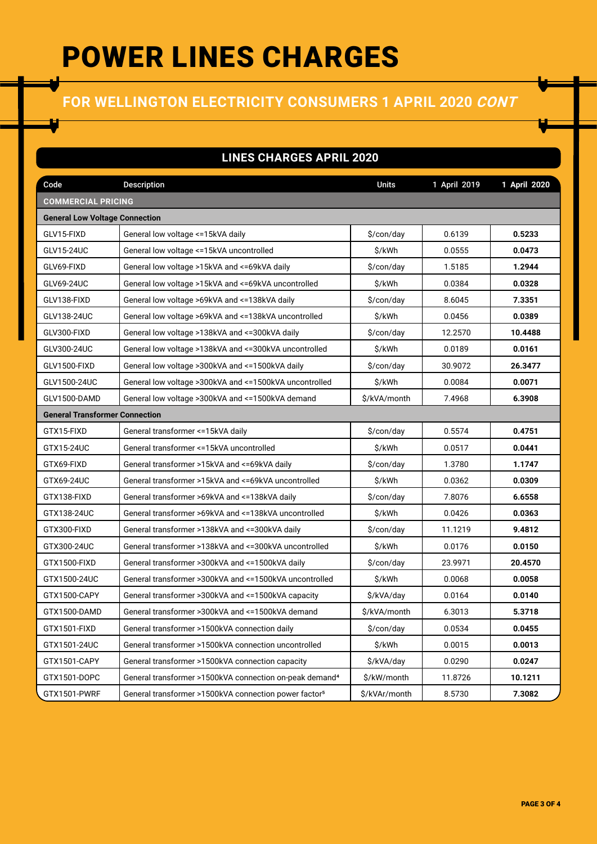# POWER LINES CHARGES

## **FOR WELLINGTON ELECTRICITY CONSUMERS 1 APRIL 2020 CONT**

### **LINES CHARGES APRIL 2020**

| Code                                  | <b>Description</b>                                                        | <b>Units</b>                          | 1 April 2019     | 1 April 2020 |
|---------------------------------------|---------------------------------------------------------------------------|---------------------------------------|------------------|--------------|
| <b>COMMERCIAL PRICING</b>             |                                                                           |                                       |                  |              |
| <b>General Low Voltage Connection</b> |                                                                           |                                       |                  |              |
| GLV15-FIXD                            | General low voltage <= 15kVA daily                                        | \$/con/day                            | 0.6139           | 0.5233       |
| GLV15-24UC                            | General low voltage <= 15kVA uncontrolled                                 | \$/kWh                                | 0.0555           | 0.0473       |
| GLV69-FIXD                            | General low voltage >15kVA and <= 69kVA daily                             | \$/con/day                            | 1.5185           | 1.2944       |
| GLV69-24UC                            | General low voltage >15kVA and <= 69kVA uncontrolled                      | \$/kWh                                | 0.0384           | 0.0328       |
| GLV138-FIXD                           | General low voltage >69kVA and <= 138kVA daily                            | \$/con/day                            | 8.6045           | 7.3351       |
| GLV138-24UC                           | General low voltage >69kVA and <=138kVA uncontrolled                      | \$/kWh                                | 0.0456           | 0.0389       |
| GLV300-FIXD                           | General low voltage >138kVA and <= 300kVA daily                           | $\frac{\cosh(\theta)}{\cosh(\theta)}$ | 12.2570          | 10.4488      |
| GLV300-24UC                           | General low voltage >138kVA and <= 300kVA uncontrolled                    | \$/kWh                                | 0.0189           | 0.0161       |
| GLV1500-FIXD                          | General low voltage > 300kVA and <= 1500kVA daily                         | $\frac{\cosh(\theta)}{\cosh(\theta)}$ | 30.9072          | 26.3477      |
| GLV1500-24UC                          | General low voltage > 300kVA and <= 1500kVA uncontrolled                  | \$/kWh                                | 0.0084           | 0.0071       |
| GLV1500-DAMD                          | General low voltage >300kVA and <=1500kVA demand                          | \$/kVA/month                          | 7.4968           | 6.3908       |
| <b>General Transformer Connection</b> |                                                                           |                                       |                  |              |
| GTX15-FIXD                            | General transformer <= 15kVA daily                                        | $\frac{\cosh(\theta)}{\cosh(\theta)}$ | 0.5574           | 0.4751       |
| GTX15-24UC                            | General transformer <= 15kVA uncontrolled                                 | \$/kWh                                | 0.0517           | 0.0441       |
| GTX69-FIXD                            | General transformer >15kVA and <= 69kVA daily                             | $\frac{\cosh(\theta)}{\cosh(\theta)}$ | 1.3780           | 1.1747       |
| GTX69-24UC                            | General transformer >15kVA and <=69kVA uncontrolled<br>\$/kWh             |                                       | 0.0362           | 0.0309       |
| GTX138-FIXD                           | General transformer >69kVA and <= 138kVA daily                            | \$/con/day                            | 7.8076           | 6.6558       |
| GTX138-24UC                           | General transformer >69kVA and <=138kVA uncontrolled                      | \$/kWh                                | 0.0426<br>0.0363 |              |
| GTX300-FIXD                           | General transformer >138kVA and <= 300kVA daily                           | \$/con/day                            | 11.1219          | 9.4812       |
| GTX300-24UC                           | General transformer >138kVA and <=300kVA uncontrolled<br>\$/kWh<br>0.0176 |                                       |                  | 0.0150       |
| GTX1500-FIXD                          | General transformer >300kVA and <=1500kVA daily                           | \$/con/day                            | 23.9971          | 20.4570      |
| GTX1500-24UC                          | General transformer >300kVA and <=1500kVA uncontrolled                    | \$/kWh                                | 0.0068           | 0.0058       |
| GTX1500-CAPY                          | General transformer >300kVA and <=1500kVA capacity                        | \$/kVA/day                            | 0.0164           | 0.0140       |
| GTX1500-DAMD                          | General transformer >300kVA and <=1500kVA demand                          | \$/kVA/month                          | 6.3013           | 5.3718       |
| GTX1501-FIXD                          | General transformer >1500kVA connection daily                             | \$/con/day                            | 0.0534           | 0.0455       |
| GTX1501-24UC                          | General transformer >1500kVA connection uncontrolled                      | \$/kWh                                | 0.0015           | 0.0013       |
| GTX1501-CAPY                          | General transformer >1500kVA connection capacity                          | \$/kVA/day                            | 0.0290           | 0.0247       |
| GTX1501-DOPC                          | General transformer >1500kVA connection on-peak demand <sup>4</sup>       | \$/kW/month                           | 11.8726          | 10.1211      |
| GTX1501-PWRF                          | General transformer >1500kVA connection power factor <sup>5</sup>         | \$/kVAr/month                         | 8.5730           | 7.3082       |